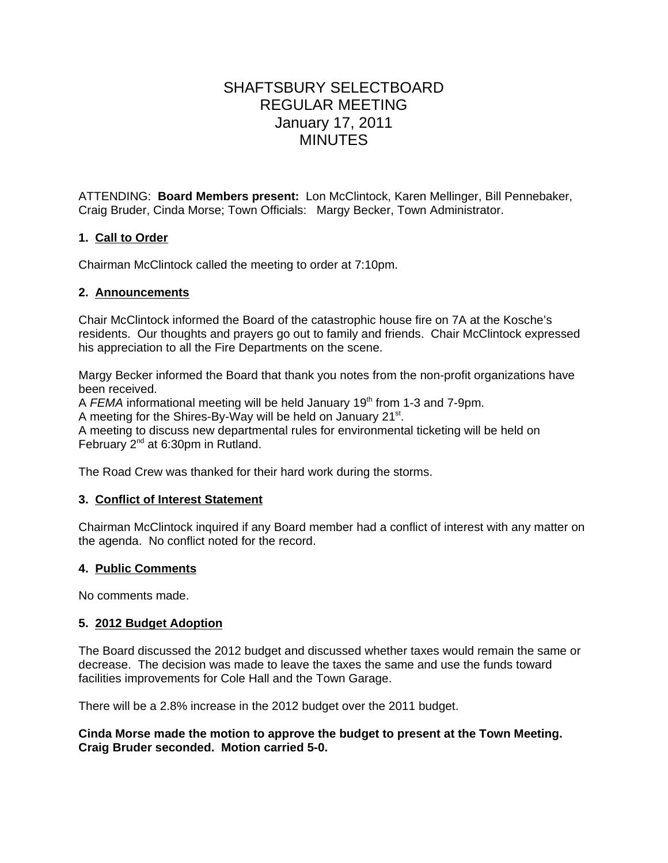# SHAFTSBURY SELECTBOARD REGULAR MEETING January 17, 2011 MINUTES

ATTENDING: **Board Members present:** Lon McClintock, Karen Mellinger, Bill Pennebaker, Craig Bruder, Cinda Morse; Town Officials: Margy Becker, Town Administrator.

## **1. Call to Order**

Chairman McClintock called the meeting to order at 7:10pm.

### **2. Announcements**

Chair McClintock informed the Board of the catastrophic house fire on 7A at the Kosche's residents. Our thoughts and prayers go out to family and friends. Chair McClintock expressed his appreciation to all the Fire Departments on the scene.

Margy Becker informed the Board that thank you notes from the non-profit organizations have been received.

A FEMA informational meeting will be held January 19<sup>th</sup> from 1-3 and 7-9pm.

A meeting for the Shires-By-Way will be held on January 21<sup>st</sup>.

A meeting to discuss new departmental rules for environmental ticketing will be held on February 2nd at 6:30pm in Rutland.

The Road Crew was thanked for their hard work during the storms.

#### **3. Conflict of Interest Statement**

Chairman McClintock inquired if any Board member had a conflict of interest with any matter on the agenda. No conflict noted for the record.

## **4. Public Comments**

No comments made.

#### **5. 2012 Budget Adoption**

The Board discussed the 2012 budget and discussed whether taxes would remain the same or decrease. The decision was made to leave the taxes the same and use the funds toward facilities improvements for Cole Hall and the Town Garage.

There will be a 2.8% increase in the 2012 budget over the 2011 budget.

**Cinda Morse made the motion to approve the budget to present at the Town Meeting. Craig Bruder seconded. Motion carried 5-0.**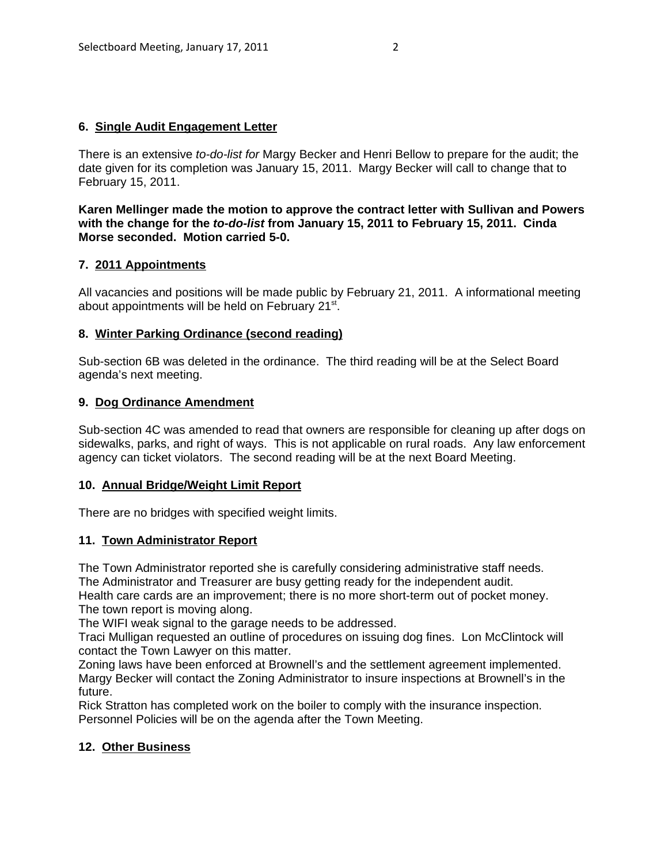#### **6. Single Audit Engagement Letter**

There is an extensive *to-do-list for* Margy Becker and Henri Bellow to prepare for the audit; the date given for its completion was January 15, 2011. Margy Becker will call to change that to February 15, 2011.

**Karen Mellinger made the motion to approve the contract letter with Sullivan and Powers with the change for the** *to-do-list* **from January 15, 2011 to February 15, 2011. Cinda Morse seconded. Motion carried 5-0.**

#### **7. 2011 Appointments**

All vacancies and positions will be made public by February 21, 2011. A informational meeting about appointments will be held on February 21<sup>st</sup>.

#### **8. Winter Parking Ordinance (second reading)**

Sub-section 6B was deleted in the ordinance. The third reading will be at the Select Board agenda's next meeting.

#### **9. Dog Ordinance Amendment**

Sub-section 4C was amended to read that owners are responsible for cleaning up after dogs on sidewalks, parks, and right of ways. This is not applicable on rural roads. Any law enforcement agency can ticket violators. The second reading will be at the next Board Meeting.

#### **10. Annual Bridge/Weight Limit Report**

There are no bridges with specified weight limits.

#### **11. Town Administrator Report**

The Town Administrator reported she is carefully considering administrative staff needs.

The Administrator and Treasurer are busy getting ready for the independent audit.

Health care cards are an improvement; there is no more short-term out of pocket money. The town report is moving along.

The WIFI weak signal to the garage needs to be addressed.

Traci Mulligan requested an outline of procedures on issuing dog fines. Lon McClintock will contact the Town Lawyer on this matter.

Zoning laws have been enforced at Brownell's and the settlement agreement implemented. Margy Becker will contact the Zoning Administrator to insure inspections at Brownell's in the future.

Rick Stratton has completed work on the boiler to comply with the insurance inspection. Personnel Policies will be on the agenda after the Town Meeting.

#### **12. Other Business**